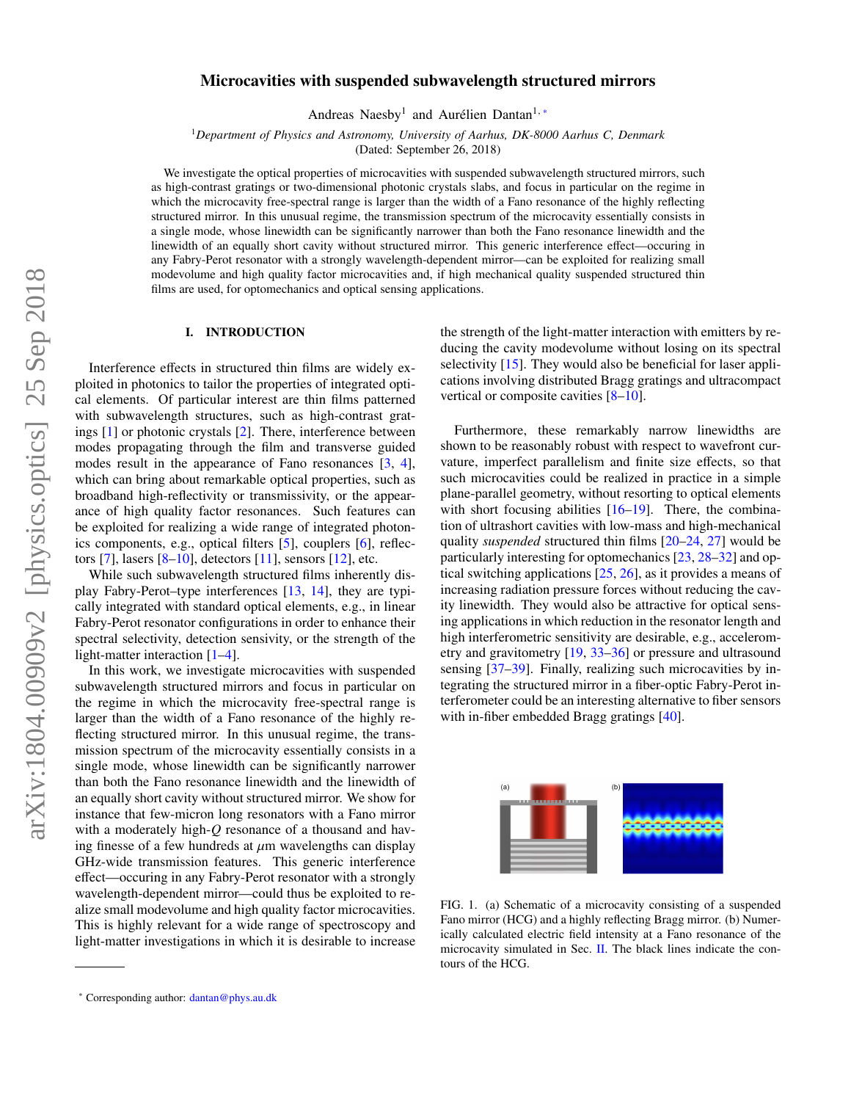# Microcavities with suspended subwavelength structured mirrors

Andreas Naesby<sup>1</sup> and Aurélien Dantan<sup>1,\*</sup>

<sup>1</sup>*Department of Physics and Astronomy, University of Aarhus, DK-8000 Aarhus C, Denmark*

(Dated: September 26, 2018)

We investigate the optical properties of microcavities with suspended subwavelength structured mirrors, such as high-contrast gratings or two-dimensional photonic crystals slabs, and focus in particular on the regime in which the microcavity free-spectral range is larger than the width of a Fano resonance of the highly reflecting structured mirror. In this unusual regime, the transmission spectrum of the microcavity essentially consists in a single mode, whose linewidth can be significantly narrower than both the Fano resonance linewidth and the linewidth of an equally short cavity without structured mirror. This generic interference effect—occuring in any Fabry-Perot resonator with a strongly wavelength-dependent mirror—can be exploited for realizing small modevolume and high quality factor microcavities and, if high mechanical quality suspended structured thin films are used, for optomechanics and optical sensing applications.

## I. INTRODUCTION

Interference effects in structured thin films are widely exploited in photonics to tailor the properties of integrated optical elements. Of particular interest are thin films patterned with subwavelength structures, such as high-contrast gratings [\[1\]](#page-3-0) or photonic crystals [\[2\]](#page-3-1). There, interference between modes propagating through the film and transverse guided modes result in the appearance of Fano resonances [\[3,](#page-3-2) [4\]](#page-3-3), which can bring about remarkable optical properties, such as broadband high-reflectivity or transmissivity, or the appearance of high quality factor resonances. Such features can be exploited for realizing a wide range of integrated photonics components, e.g., optical filters [\[5\]](#page-3-4), couplers [\[6\]](#page-3-5), reflectors  $[7]$ , lasers  $[8-10]$  $[8-10]$ , detectors  $[11]$ , sensors  $[12]$ , etc.

While such subwavelength structured films inherently display Fabry-Perot–type interferences [\[13,](#page-4-4) [14\]](#page-4-5), they are typically integrated with standard optical elements, e.g., in linear Fabry-Perot resonator configurations in order to enhance their spectral selectivity, detection sensivity, or the strength of the light-matter interaction [\[1–](#page-3-0)[4\]](#page-3-3).

In this work, we investigate microcavities with suspended subwavelength structured mirrors and focus in particular on the regime in which the microcavity free-spectral range is larger than the width of a Fano resonance of the highly reflecting structured mirror. In this unusual regime, the transmission spectrum of the microcavity essentially consists in a single mode, whose linewidth can be significantly narrower than both the Fano resonance linewidth and the linewidth of an equally short cavity without structured mirror. We show for instance that few-micron long resonators with a Fano mirror with a moderately high-*Q* resonance of a thousand and having finesse of a few hundreds at  $\mu$ m wavelengths can display GHz-wide transmission features. This generic interference effect—occuring in any Fabry-Perot resonator with a strongly wavelength-dependent mirror—could thus be exploited to realize small modevolume and high quality factor microcavities. This is highly relevant for a wide range of spectroscopy and light-matter investigations in which it is desirable to increase

the strength of the light-matter interaction with emitters by reducing the cavity modevolume without losing on its spectral selectivity [\[15\]](#page-4-6). They would also be beneficial for laser applications involving distributed Bragg gratings and ultracompact vertical or composite cavities [\[8](#page-4-0)[–10\]](#page-4-1).

Furthermore, these remarkably narrow linewidths are shown to be reasonably robust with respect to wavefront curvature, imperfect parallelism and finite size effects, so that such microcavities could be realized in practice in a simple plane-parallel geometry, without resorting to optical elements with short focusing abilities [\[16–](#page-4-7)[19\]](#page-4-8). There, the combination of ultrashort cavities with low-mass and high-mechanical quality *suspended* structured thin films [\[20–](#page-4-9)[24,](#page-4-10) [27\]](#page-4-11) would be particularly interesting for optomechanics [\[23,](#page-4-12) [28](#page-4-13)[–32\]](#page-4-14) and optical switching applications [\[25,](#page-4-15) [26\]](#page-4-16), as it provides a means of increasing radiation pressure forces without reducing the cavity linewidth. They would also be attractive for optical sensing applications in which reduction in the resonator length and high interferometric sensitivity are desirable, e.g., accelerometry and gravitometry [\[19,](#page-4-8) [33–](#page-4-17)[36\]](#page-4-18) or pressure and ultrasound sensing [\[37](#page-4-19)[–39\]](#page-4-20). Finally, realizing such microcavities by integrating the structured mirror in a fiber-optic Fabry-Perot interferometer could be an interesting alternative to fiber sensors with in-fiber embedded Bragg gratings [\[40\]](#page-4-21).



<span id="page-0-1"></span>FIG. 1. (a) Schematic of a microcavity consisting of a suspended Fano mirror (HCG) and a highly reflecting Bragg mirror. (b) Numerically calculated electric field intensity at a Fano resonance of the microcavity simulated in Sec. [II.](#page-1-0) The black lines indicate the contours of the HCG.

<span id="page-0-0"></span><sup>∗</sup> Corresponding author: [dantan@phys.au.dk](mailto:dantan@phys.au.dk)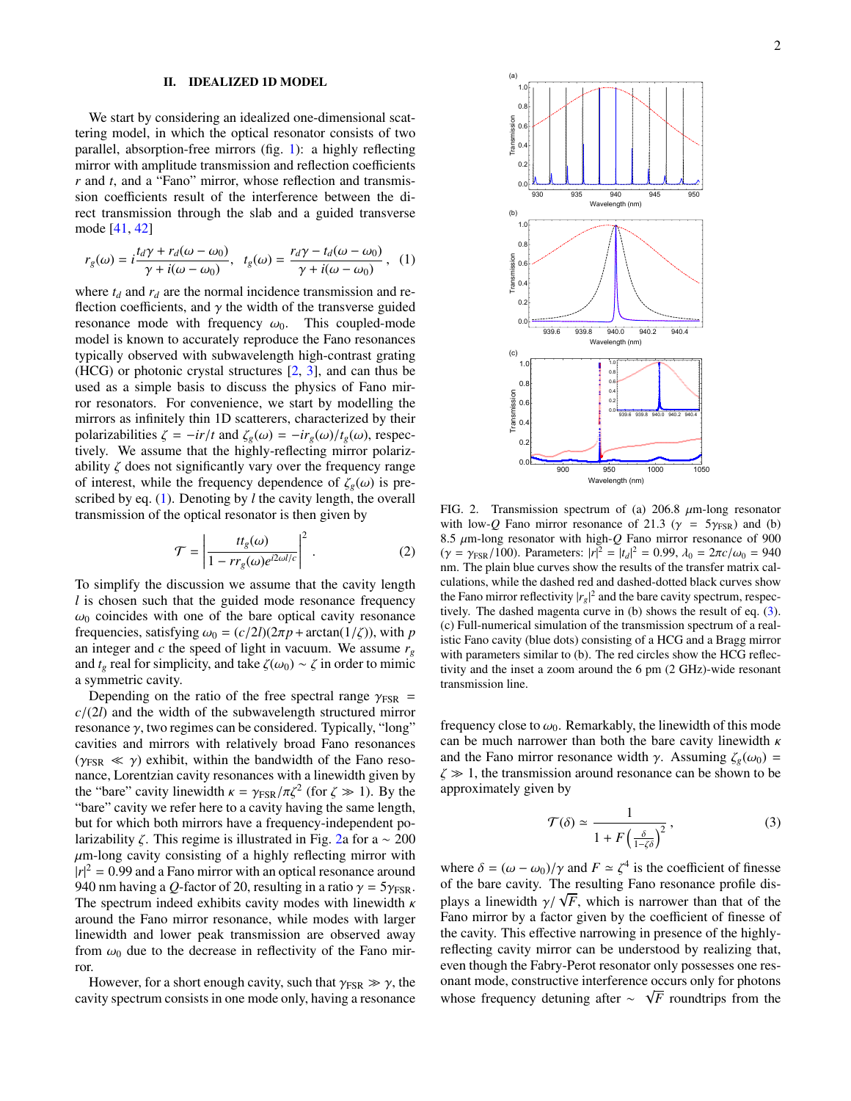### <span id="page-1-0"></span>II. IDEALIZED 1D MODEL

We start by considering an idealized one-dimensional scattering model, in which the optical resonator consists of two parallel, absorption-free mirrors (fig. [1\)](#page-0-1): a highly reflecting mirror with amplitude transmission and reflection coefficients *r* and *t*, and a "Fano" mirror, whose reflection and transmission coefficients result of the interference between the direct transmission through the slab and a guided transverse mode [\[41,](#page-4-22) [42\]](#page-4-23)

<span id="page-1-1"></span>
$$
r_g(\omega) = i \frac{t_d \gamma + r_d(\omega - \omega_0)}{\gamma + i(\omega - \omega_0)}, \quad t_g(\omega) = \frac{r_d \gamma - t_d(\omega - \omega_0)}{\gamma + i(\omega - \omega_0)}, \quad (1)
$$

where  $t_d$  and  $r_d$  are the normal incidence transmission and reflection coefficients, and  $\gamma$  the width of the transverse guided resonance mode with frequency  $\omega_0$ . This coupled-mode model is known to accurately reproduce the Fano resonances typically observed with subwavelength high-contrast grating (HCG) or photonic crystal structures [\[2,](#page-3-1) [3\]](#page-3-2), and can thus be used as a simple basis to discuss the physics of Fano mirror resonators. For convenience, we start by modelling the mirrors as infinitely thin 1D scatterers, characterized by their polarizabilities  $\zeta = -ir/t$  and  $\zeta_g(\omega) = -ir_g(\omega)/t_g(\omega)$ , respectively. We assume that the highly-reflecting mirror polarizability  $\zeta$  does not significantly vary over the frequency range of interest, while the frequency dependence of  $\zeta_g(\omega)$  is prescribed by eq. [\(1\)](#page-1-1). Denoting by *l* the cavity length, the overall transmission of the optical resonator is then given by

$$
\mathcal{T} = \left| \frac{t t_g(\omega)}{1 - r r_g(\omega) e^{i2\omega l/c}} \right|^2.
$$
 (2)

To simplify the discussion we assume that the cavity length *l* is chosen such that the guided mode resonance frequency  $\omega_0$  coincides with one of the bare optical cavity resonance frequencies, satisfying  $\omega_0 = (c/2l)(2\pi p + \arctan(1/\zeta))$ , with *p* an integer and *c* the speed of light in vacuum. We assume  $r_g$ and  $t_g$  real for simplicity, and take  $\zeta(\omega_0) \sim \zeta$  in order to mimic a symmetric cavity.

Depending on the ratio of the free spectral range  $\gamma_{FSR}$  = *<sup>c</sup>*/(2*l*) and the width of the subwavelength structured mirror resonance  $\gamma$ , two regimes can be considered. Typically, "long" cavities and mirrors with relatively broad Fano resonances  $(\gamma_{FSR} \ll \gamma)$  exhibit, within the bandwidth of the Fano resonance, Lorentzian cavity resonances with a linewidth given by the "bare" cavity linewidth  $\kappa = \gamma_{FSR}/\pi \zeta^2$  (for  $\zeta \gg 1$ ). By the "bare" cavity we refer here to a cavity having the same length "bare" cavity we refer here to a cavity having the same length, but for which both mirrors have a frequency-independent polarizability  $\zeta$ . This regime is illustrated in Fig. [2a](#page-1-2) for a  $\sim 200$  $\mu$ m-long cavity consisting of a highly reflecting mirror with  $|r|^2 = 0.99$  and a Fano mirror with an optical resonance around  $940$  nm having a *O*-factor of 20 resulting in a ratio  $\gamma = 5\gamma_{\text{CSD}}$ 940 nm having a *Q*-factor of 20, resulting in a ratio  $\gamma = 5\gamma_{FSR}$ . The spectrum indeed exhibits cavity modes with linewidth  $\kappa$ around the Fano mirror resonance, while modes with larger linewidth and lower peak transmission are observed away from  $\omega_0$  due to the decrease in reflectivity of the Fano mirror.

However, for a short enough cavity, such that  $\gamma_{FSR} \gg \gamma$ , the cavity spectrum consists in one mode only, having a resonance



<span id="page-1-2"></span>FIG. 2. Transmission spectrum of (a)  $206.8 \mu$ m-long resonator with low-*Q* Fano mirror resonance of 21.3 ( $\gamma = 5\gamma_{FSR}$ ) and (b) 8.5 µm-long resonator with high-*<sup>Q</sup>* Fano mirror resonance of 900 ( $\gamma = \gamma_{FSR}/100$ ). Parameters:  $|r|^2 = |t_d|^2 = 0.99$ ,  $\lambda_0 = 2\pi c/\omega_0 = 940$ <br>nm. The plain blue curves show the results of the transfer matrix calnm. The plain blue curves show the results of the transfer matrix calculations, while the dashed red and dashed-dotted black curves show the Fano mirror reflectivity  $|r_g|^2$  and the bare cavity spectrum, respectively. The dashed magenta curve in (b) shows the result of eq. [\(3\)](#page-1-3). (c) Full-numerical simulation of the transmission spectrum of a realistic Fano cavity (blue dots) consisting of a HCG and a Bragg mirror with parameters similar to (b). The red circles show the HCG reflectivity and the inset a zoom around the 6 pm (2 GHz)-wide resonant transmission line.

frequency close to  $\omega_0$ . Remarkably, the linewidth of this mode can be much narrower than both the bare cavity linewidth  $\kappa$ and the Fano mirror resonance width  $\gamma$ . Assuming  $\zeta_g(\omega_0)$  =  $\zeta \gg 1$ , the transmission around resonance can be shown to be approximately given by

<span id="page-1-3"></span>
$$
\mathcal{T}(\delta) \simeq \frac{1}{1 + F\left(\frac{\delta}{1 - \zeta \delta}\right)^2},\tag{3}
$$

where  $\delta = (\omega - \omega_0)/\gamma$  and  $F \approx \zeta^4$  is the coefficient of finesse<br>of the bare cavity. The resulting Fano resonance profile disof the bare cavity. The resulting Fano resonance profile disblays a linewidth  $\gamma/\sqrt{F}$ , which is narrower than that of the Fano mirror by a factor given by the coefficient of finesse of Fano mirror by a factor given by the coefficient of finesse of the cavity. This effective narrowing in presence of the highlyreflecting cavity mirror can be understood by realizing that, even though the Fabry-Perot resonator only possesses one resonant mode, constructive interference occurs only for photons √ whose frequency detuning after ~  $\sqrt{F}$  roundtrips from the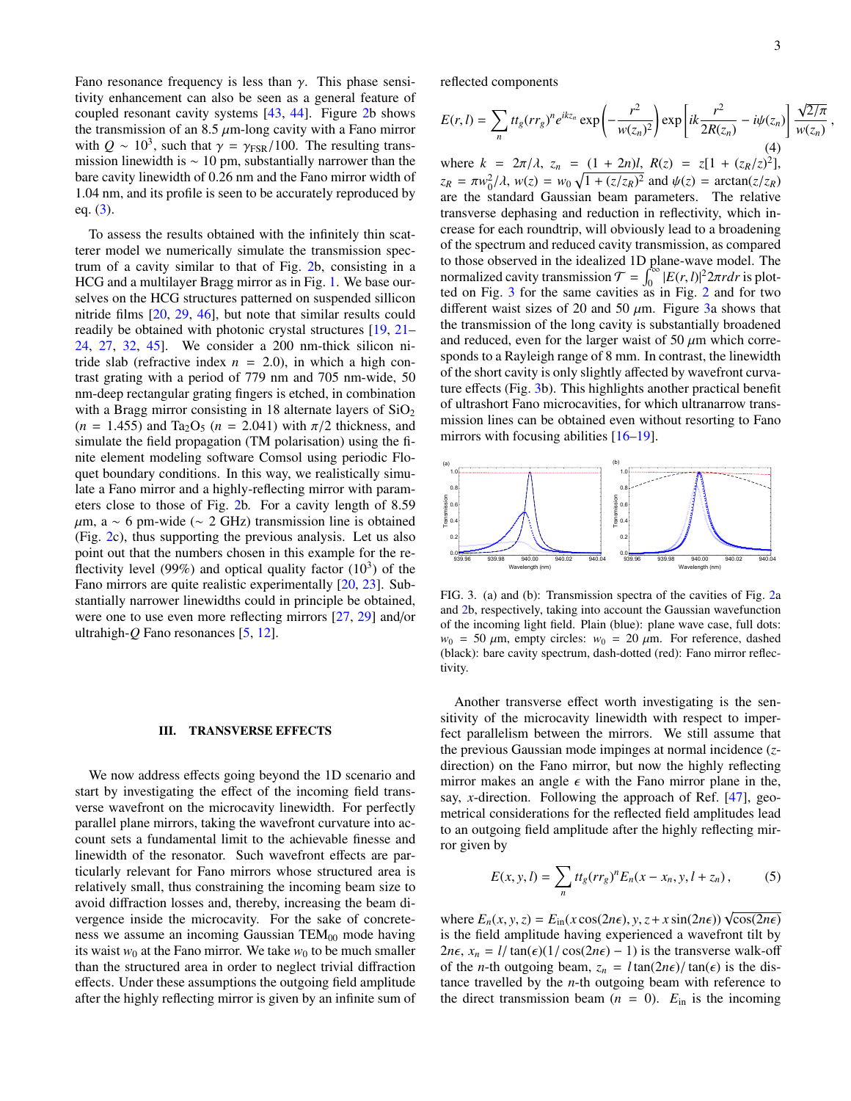Fano resonance frequency is less than  $\gamma$ . This phase sensitivity enhancement can also be seen as a general feature of coupled resonant cavity systems [\[43,](#page-4-24) [44\]](#page-4-25). Figure [2b](#page-1-2) shows the transmission of an 8.5  $\mu$ m-long cavity with a Fano mirror with  $Q \sim 10^3$ , such that  $\gamma = \gamma_{FSR}/100$ . The resulting transmission linewidth is  $\sim 10$  pm substantially narrower than the mission linewidth is  $\sim 10$  pm, substantially narrower than the bare cavity linewidth of 0.26 nm and the Fano mirror width of <sup>1</sup>.04 nm, and its profile is seen to be accurately reproduced by eq.  $(3)$ .

To assess the results obtained with the infinitely thin scatterer model we numerically simulate the transmission spectrum of a cavity similar to that of Fig. [2b](#page-1-2), consisting in a HCG and a multilayer Bragg mirror as in Fig. [1.](#page-0-1) We base ourselves on the HCG structures patterned on suspended sillicon nitride films [\[20,](#page-4-9) [29,](#page-4-26) [46\]](#page-5-0), but note that similar results could readily be obtained with photonic crystal structures [\[19,](#page-4-8) [21–](#page-4-27) [24,](#page-4-10) [27,](#page-4-11) [32,](#page-4-14) [45\]](#page-5-1). We consider a 200 nm-thick silicon nitride slab (refractive index  $n = 2.0$ ), in which a high contrast grating with a period of 779 nm and 705 nm-wide, 50 nm-deep rectangular grating fingers is etched, in combination with a Bragg mirror consisting in 18 alternate layers of  $SiO<sub>2</sub>$  $(n = 1.455)$  and Ta<sub>2</sub>O<sub>5</sub>  $(n = 2.041)$  with  $\pi/2$  thickness, and simulate the field propagation (TM polarisation) using the finite element modeling software Comsol using periodic Floquet boundary conditions. In this way, we realistically simulate a Fano mirror and a highly-reflecting mirror with parameters close to those of Fig. [2b](#page-1-2). For a cavity length of 8.<sup>59</sup>  $\mu$ m, a ~ 6 pm-wide (~ 2 GHz) transmission line is obtained (Fig. [2c](#page-1-2)), thus supporting the previous analysis. Let us also point out that the numbers chosen in this example for the reflectivity level (99%) and optical quality factor  $(10^3)$  of the Fano mirrors are quite realistic experimentally [\[20,](#page-4-9) [23\]](#page-4-12). Substantially narrower linewidths could in principle be obtained, were one to use even more reflecting mirrors [\[27,](#page-4-11) [29\]](#page-4-26) and/or ultrahigh-*Q* Fano resonances [\[5,](#page-3-4) [12\]](#page-4-3).

## III. TRANSVERSE EFFECTS

We now address effects going beyond the 1D scenario and start by investigating the effect of the incoming field transverse wavefront on the microcavity linewidth. For perfectly parallel plane mirrors, taking the wavefront curvature into account sets a fundamental limit to the achievable finesse and linewidth of the resonator. Such wavefront effects are particularly relevant for Fano mirrors whose structured area is relatively small, thus constraining the incoming beam size to avoid diffraction losses and, thereby, increasing the beam divergence inside the microcavity. For the sake of concreteness we assume an incoming Gaussian  $TEM_{00}$  mode having its waist  $w_0$  at the Fano mirror. We take  $w_0$  to be much smaller than the structured area in order to neglect trivial diffraction effects. Under these assumptions the outgoing field amplitude after the highly reflecting mirror is given by an infinite sum of reflected components

$$
E(r, l) = \sum_{n} t t_{g}(r r_{g})^{n} e^{ikz_{n}} \exp\left(-\frac{r^{2}}{w(z_{n})^{2}}\right) \exp\left[i k \frac{r^{2}}{2R(z_{n})} - i \psi(z_{n})\right] \frac{\sqrt{2/\pi}}{w(z_{n})}
$$
\n(4)

where  $k = 2\pi/\lambda$ ,  $z_n = (1 + 2n)l$ ,  $R(z) = z[1 + (z_R/z)^2]$ ,<br> $z_n = \pi v^2/(1 - v(z)) = v(z_n)[1 + (z/z_n)^2]$  and  $v(z) = \arctan(z/z_n)$  $z_R = \pi w_0^2/\lambda$ ,  $w(z) = w_0 \sqrt{1 + (z/z_R)^2}$  and  $\psi(z) = \arctan(z/z_R)$ <br>are the standard Gaussian beam parameters. The relative are the standard Gaussian beam parameters. The relative transverse dephasing and reduction in reflectivity, which increase for each roundtrip, will obviously lead to a broadening of the spectrum and reduced cavity transmission, as compared to those observed in the idealized 1D plane-wave model. The normalized cavity transmission  $T = \int_0^\infty |E(r, l)|^2 2\pi r dr$  is plot-<br>ted on Fig. 3 for the same cavities as in Fig. 2 and for two ted on Fig. [3](#page-2-0) for the same cavities as in Fig. [2](#page-1-2) and for two different waist sizes of 20 and 50  $\mu$ m. Figure [3a](#page-2-0) shows that the transmission of the long cavity is substantially broadened and reduced, even for the larger waist of 50  $\mu$ m which corresponds to a Rayleigh range of 8 mm. In contrast, the linewidth of the short cavity is only slightly affected by wavefront curvature effects (Fig. [3b](#page-2-0)). This highlights another practical benefit of ultrashort Fano microcavities, for which ultranarrow transmission lines can be obtained even without resorting to Fano mirrors with focusing abilities [\[16](#page-4-7)[–19\]](#page-4-8).



<span id="page-2-0"></span>FIG. 3. (a) and (b): Transmission spectra of the cavities of Fig. [2a](#page-1-2) and [2b](#page-1-2), respectively, taking into account the Gaussian wavefunction of the incoming light field. Plain (blue): plane wave case, full dots:  $w_0$  = 50  $\mu$ m, empty circles:  $w_0$  = 20  $\mu$ m. For reference, dashed (black): bare cavity spectrum, dash-dotted (red): Fano mirror reflectivity.

Another transverse effect worth investigating is the sensitivity of the microcavity linewidth with respect to imperfect parallelism between the mirrors. We still assume that the previous Gaussian mode impinges at normal incidence (*z*direction) on the Fano mirror, but now the highly reflecting mirror makes an angle  $\epsilon$  with the Fano mirror plane in the, say, *x*-direction. Following the approach of Ref. [\[47\]](#page-5-2), geometrical considerations for the reflected field amplitudes lead to an outgoing field amplitude after the highly reflecting mirror given by

$$
E(x, y, l) = \sum_{n} t t_g (r r_g)^n E_n (x - x_n, y, l + z_n),
$$
 (5)

where  $E_n(x, y, z) = E_{in}(x \cos(2n\epsilon), y, z + x \sin(2n\epsilon)) \sqrt{\cos(2n\epsilon)}$ <br>is the field amplitude having experienced a wavefront tilt by is the field amplitude having experienced a wavefront tilt by 2*n* $\epsilon$ , *x<sub>n</sub>* = *l*/ tan( $\epsilon$ )(1/ cos(2*n* $\epsilon$ ) − 1) is the transverse walk-off of the *n*-th outgoing beam,  $z_n = l \tan(2n\epsilon) / \tan(\epsilon)$  is the distance travelled by the *n*-th outgoing beam with reference to the direct transmission beam  $(n = 0)$ .  $E_{\text{in}}$  is the incoming

,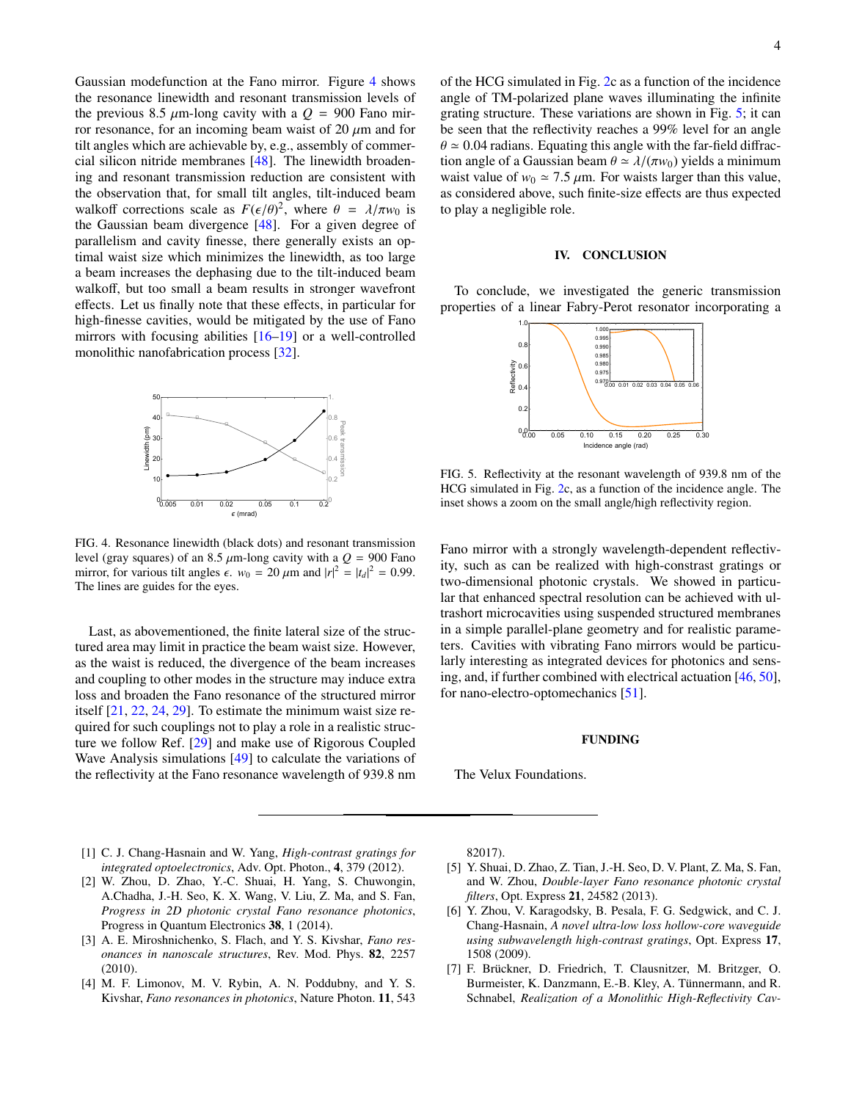Gaussian modefunction at the Fano mirror. Figure [4](#page-3-7) shows the resonance linewidth and resonant transmission levels of the previous 8.5  $\mu$ m-long cavity with a  $Q = 900$  Fano mirror resonance, for an incoming beam waist of 20  $\mu$ m and for tilt angles which are achievable by, e.g., assembly of commercial silicon nitride membranes [\[48\]](#page-5-3). The linewidth broadening and resonant transmission reduction are consistent with the observation that, for small tilt angles, tilt-induced beam walkoff corrections scale as  $F(\epsilon/\theta)^2$ , where  $\theta = \lambda/\pi w_0$  is<br>the Gaussian beam divergence [48]. For a given degree of the Gaussian beam divergence [\[48\]](#page-5-3). For a given degree of parallelism and cavity finesse, there generally exists an optimal waist size which minimizes the linewidth, as too large a beam increases the dephasing due to the tilt-induced beam walkoff, but too small a beam results in stronger wavefront effects. Let us finally note that these effects, in particular for high-finesse cavities, would be mitigated by the use of Fano mirrors with focusing abilities  $[16–19]$  $[16–19]$  or a well-controlled monolithic nanofabrication process [\[32\]](#page-4-14).



<span id="page-3-7"></span>FIG. 4. Resonance linewidth (black dots) and resonant transmission level (gray squares) of an 8.5  $\mu$ m-long cavity with a  $Q = 900$  Fano mirror, for various tilt angles  $\epsilon$ .  $w_0 = 20 \ \mu \text{m}$  and  $|r|^2 = |t_d|^2 = 0.99$ .<br>The lines are quides for the eyes The lines are guides for the eyes.

Last, as abovementioned, the finite lateral size of the structured area may limit in practice the beam waist size. However, as the waist is reduced, the divergence of the beam increases and coupling to other modes in the structure may induce extra loss and broaden the Fano resonance of the structured mirror itself [\[21,](#page-4-27) [22,](#page-4-28) [24,](#page-4-10) [29\]](#page-4-26). To estimate the minimum waist size required for such couplings not to play a role in a realistic structure we follow Ref. [\[29\]](#page-4-26) and make use of Rigorous Coupled Wave Analysis simulations [\[49\]](#page-5-4) to calculate the variations of the reflectivity at the Fano resonance wavelength of 939.8 nm of the HCG simulated in Fig. [2c](#page-1-2) as a function of the incidence angle of TM-polarized plane waves illuminating the infinite grating structure. These variations are shown in Fig. [5;](#page-3-8) it can be seen that the reflectivity reaches a 99% level for an angle  $\theta \approx 0.04$  radians. Equating this angle with the far-field diffraction angle of a Gaussian beam  $\theta \simeq \lambda/(\pi w_0)$  yields a minimum waist value of  $w_0 \approx 7.5 \mu m$ . For waists larger than this value, as considered above, such finite-size effects are thus expected to play a negligible role.

### IV. CONCLUSION

To conclude, we investigated the generic transmission properties of a linear Fabry-Perot resonator incorporating a



<span id="page-3-8"></span>FIG. 5. Reflectivity at the resonant wavelength of 939.8 nm of the HCG simulated in Fig. [2c](#page-1-2), as a function of the incidence angle. The inset shows a zoom on the small angle/high reflectivity region.

Fano mirror with a strongly wavelength-dependent reflectivity, such as can be realized with high-constrast gratings or two-dimensional photonic crystals. We showed in particular that enhanced spectral resolution can be achieved with ultrashort microcavities using suspended structured membranes in a simple parallel-plane geometry and for realistic parameters. Cavities with vibrating Fano mirrors would be particularly interesting as integrated devices for photonics and sensing, and, if further combined with electrical actuation [\[46,](#page-5-0) [50\]](#page-5-5), for nano-electro-optomechanics [\[51\]](#page-5-6).

## FUNDING

The Velux Foundations.

- <span id="page-3-0"></span>[1] C. J. Chang-Hasnain and W. Yang, *High-contrast gratings for integrated optoelectronics*, Adv. Opt. Photon., 4, 379 (2012).
- <span id="page-3-1"></span>[2] W. Zhou, D. Zhao, Y.-C. Shuai, H. Yang, S. Chuwongin, A.Chadha, J.-H. Seo, K. X. Wang, V. Liu, Z. Ma, and S. Fan, *Progress in 2D photonic crystal Fano resonance photonics*, Progress in Quantum Electronics 38, 1 (2014).
- <span id="page-3-2"></span>[3] A. E. Miroshnichenko, S. Flach, and Y. S. Kivshar, *Fano resonances in nanoscale structures*, Rev. Mod. Phys. 82, 2257 (2010).
- <span id="page-3-3"></span>[4] M. F. Limonov, M. V. Rybin, A. N. Poddubny, and Y. S. Kivshar, *Fano resonances in photonics*, Nature Photon. 11, 543

82017).

- <span id="page-3-4"></span>[5] Y. Shuai, D. Zhao, Z. Tian, J.-H. Seo, D. V. Plant, Z. Ma, S. Fan, and W. Zhou, *Double-layer Fano resonance photonic crystal filters*, Opt. Express 21, 24582 (2013).
- <span id="page-3-5"></span>[6] Y. Zhou, V. Karagodsky, B. Pesala, F. G. Sedgwick, and C. J. Chang-Hasnain, *A novel ultra-low loss hollow-core waveguide using subwavelength high-contrast gratings*, Opt. Express 17, 1508 (2009).
- <span id="page-3-6"></span>[7] F. Brückner, D. Friedrich, T. Clausnitzer, M. Britzger, O. Burmeister, K. Danzmann, E.-B. Kley, A. Tünnermann, and R. Schnabel, *Realization of a Monolithic High-Reflectivity Cav-*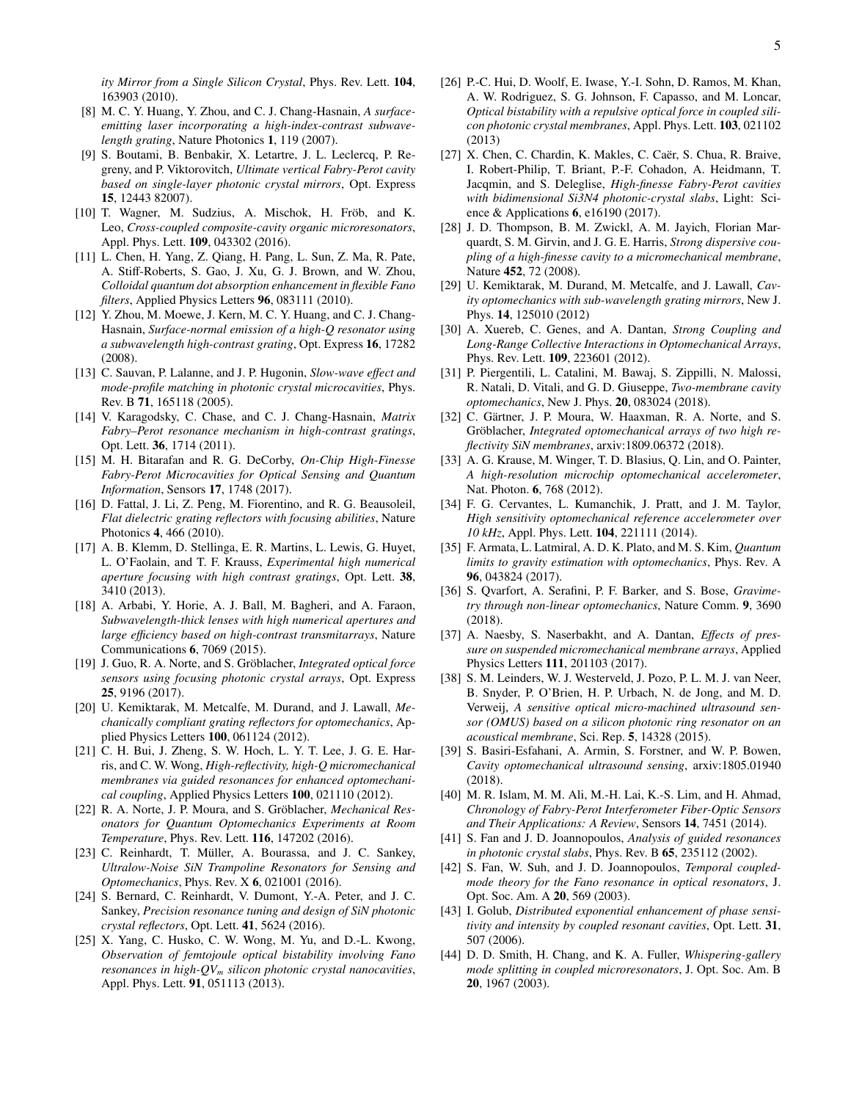- <span id="page-4-0"></span>[8] M. C. Y. Huang, Y. Zhou, and C. J. Chang-Hasnain, *A surfaceemitting laser incorporating a high-index-contrast subwavelength grating*, Nature Photonics 1, 119 (2007).
- [9] S. Boutami, B. Benbakir, X. Letartre, J. L. Leclercq, P. Regreny, and P. Viktorovitch, *Ultimate vertical Fabry-Perot cavity based on single-layer photonic crystal mirrors*, Opt. Express 15, 12443 82007).
- <span id="page-4-1"></span>[10] T. Wagner, M. Sudzius, A. Mischok, H. Fröb, and K. Leo, *Cross-coupled composite-cavity organic microresonators*, Appl. Phys. Lett. 109, 043302 (2016).
- <span id="page-4-2"></span>[11] L. Chen, H. Yang, Z. Qiang, H. Pang, L. Sun, Z. Ma, R. Pate, A. Stiff-Roberts, S. Gao, J. Xu, G. J. Brown, and W. Zhou, *Colloidal quantum dot absorption enhancement in flexible Fano filters*, Applied Physics Letters 96, 083111 (2010).
- <span id="page-4-3"></span>[12] Y. Zhou, M. Moewe, J. Kern, M. C. Y. Huang, and C. J. Chang-Hasnain, *Surface-normal emission of a high-Q resonator using a subwavelength high-contrast grating*, Opt. Express 16, 17282 (2008).
- <span id="page-4-4"></span>[13] C. Sauvan, P. Lalanne, and J. P. Hugonin, *Slow-wave e*ff*ect and mode-profile matching in photonic crystal microcavities*, Phys. Rev. B 71, 165118 (2005).
- <span id="page-4-5"></span>[14] V. Karagodsky, C. Chase, and C. J. Chang-Hasnain, *Matrix Fabry–Perot resonance mechanism in high-contrast gratings*, Opt. Lett. 36, 1714 (2011).
- <span id="page-4-6"></span>[15] M. H. Bitarafan and R. G. DeCorby, *On-Chip High-Finesse Fabry-Perot Microcavities for Optical Sensing and Quantum Information*, Sensors 17, 1748 (2017).
- <span id="page-4-7"></span>[16] D. Fattal, J. Li, Z. Peng, M. Fiorentino, and R. G. Beausoleil, *Flat dielectric grating reflectors with focusing abilities*, Nature Photonics 4, 466 (2010).
- [17] A. B. Klemm, D. Stellinga, E. R. Martins, L. Lewis, G. Huyet, L. O'Faolain, and T. F. Krauss, *Experimental high numerical aperture focusing with high contrast gratings*, Opt. Lett. 38, 3410 (2013).
- [18] A. Arbabi, Y. Horie, A. J. Ball, M. Bagheri, and A. Faraon, *Subwavelength-thick lenses with high numerical apertures and large e*ffi*ciency based on high-contrast transmitarrays*, Nature Communications 6, 7069 (2015).
- <span id="page-4-8"></span>[19] J. Guo, R. A. Norte, and S. Gröblacher, *Integrated optical force sensors using focusing photonic crystal arrays*, Opt. Express 25, 9196 (2017).
- <span id="page-4-9"></span>[20] U. Kemiktarak, M. Metcalfe, M. Durand, and J. Lawall, *Mechanically compliant grating reflectors for optomechanics*, Applied Physics Letters 100, 061124 (2012).
- <span id="page-4-27"></span>[21] C. H. Bui, J. Zheng, S. W. Hoch, L. Y. T. Lee, J. G. E. Harris, and C. W. Wong, *High-reflectivity, high-Q micromechanical membranes via guided resonances for enhanced optomechanical coupling*, Applied Physics Letters 100, 021110 (2012).
- <span id="page-4-28"></span>[22] R. A. Norte, J. P. Moura, and S. Gröblacher, *Mechanical Resonators for Quantum Optomechanics Experiments at Room Temperature*, Phys. Rev. Lett. 116, 147202 (2016).
- <span id="page-4-12"></span>[23] C. Reinhardt, T. Müller, A. Bourassa, and J. C. Sankey, *Ultralow-Noise SiN Trampoline Resonators for Sensing and Optomechanics*, Phys. Rev. X 6, 021001 (2016).
- <span id="page-4-10"></span>[24] S. Bernard, C. Reinhardt, V. Dumont, Y.-A. Peter, and J. C. Sankey, *Precision resonance tuning and design of SiN photonic crystal reflectors*, Opt. Lett. 41, 5624 (2016).
- <span id="page-4-15"></span>[25] X. Yang, C. Husko, C. W. Wong, M. Yu, and D.-L. Kwong, *Observation of femtojoule optical bistability involving Fano resonances in high-QV<sup>m</sup> silicon photonic crystal nanocavities*, Appl. Phys. Lett. 91, 051113 (2013).
- <span id="page-4-16"></span>[26] P.-C. Hui, D. Woolf, E. Iwase, Y.-I. Sohn, D. Ramos, M. Khan, A. W. Rodriguez, S. G. Johnson, F. Capasso, and M. Loncar, *Optical bistability with a repulsive optical force in coupled silicon photonic crystal membranes*, Appl. Phys. Lett. 103, 021102 (2013)
- <span id="page-4-11"></span>[27] X. Chen, C. Chardin, K. Makles, C. Caër, S. Chua, R. Braive, I. Robert-Philip, T. Briant, P.-F. Cohadon, A. Heidmann, T. Jacqmin, and S. Deleglise, *High-finesse Fabry-Perot cavities with bidimensional Si3N4 photonic-crystal slabs*, Light: Science & Applications 6, e16190 (2017).
- <span id="page-4-13"></span>[28] J. D. Thompson, B. M. Zwickl, A. M. Jayich, Florian Marquardt, S. M. Girvin, and J. G. E. Harris, *Strong dispersive coupling of a high-finesse cavity to a micromechanical membrane*, Nature 452, 72 (2008).
- <span id="page-4-26"></span>[29] U. Kemiktarak, M. Durand, M. Metcalfe, and J. Lawall, *Cavity optomechanics with sub-wavelength grating mirrors*, New J. Phys. 14, 125010 (2012)
- [30] A. Xuereb, C. Genes, and A. Dantan, *Strong Coupling and Long-Range Collective Interactions in Optomechanical Arrays*, Phys. Rev. Lett. 109, 223601 (2012).
- [31] P. Piergentili, L. Catalini, M. Bawaj, S. Zippilli, N. Malossi, R. Natali, D. Vitali, and G. D. Giuseppe, *Two-membrane cavity optomechanics*, New J. Phys. 20, 083024 (2018).
- <span id="page-4-14"></span>[32] C. Gärtner, J. P. Moura, W. Haaxman, R. A. Norte, and S. Gröblacher, *Integrated optomechanical arrays of two high reflectivity SiN membranes*, arxiv:1809.06372 (2018).
- <span id="page-4-17"></span>[33] A. G. Krause, M. Winger, T. D. Blasius, Q. Lin, and O. Painter, *A high-resolution microchip optomechanical accelerometer*, Nat. Photon. 6, 768 (2012).
- [34] F. G. Cervantes, L. Kumanchik, J. Pratt, and J. M. Taylor, *High sensitivity optomechanical reference accelerometer over 10 kHz*, Appl. Phys. Lett. 104, 221111 (2014).
- [35] F. Armata, L. Latmiral, A. D. K. Plato, and M. S. Kim, *Quantum limits to gravity estimation with optomechanics*, Phys. Rev. A 96, 043824 (2017).
- <span id="page-4-18"></span>[36] S. Qvarfort, A. Serafini, P. F. Barker, and S. Bose, *Gravimetry through non-linear optomechanics*, Nature Comm. 9, 3690 (2018).
- <span id="page-4-19"></span>[37] A. Naesby, S. Naserbakht, and A. Dantan, *E*ff*ects of pressure on suspended micromechanical membrane arrays*, Applied Physics Letters 111, 201103 (2017).
- [38] S. M. Leinders, W. J. Westerveld, J. Pozo, P. L. M. J. van Neer, B. Snyder, P. O'Brien, H. P. Urbach, N. de Jong, and M. D. Verweij, *A sensitive optical micro-machined ultrasound sensor (OMUS) based on a silicon photonic ring resonator on an acoustical membrane*, Sci. Rep. 5, 14328 (2015).
- <span id="page-4-20"></span>[39] S. Basiri-Esfahani, A. Armin, S. Forstner, and W. P. Bowen, *Cavity optomechanical ultrasound sensing*, arxiv:1805.01940 (2018).
- <span id="page-4-21"></span>[40] M. R. Islam, M. M. Ali, M.-H. Lai, K.-S. Lim, and H. Ahmad, *Chronology of Fabry-Perot Interferometer Fiber-Optic Sensors and Their Applications: A Review*, Sensors 14, 7451 (2014).
- <span id="page-4-22"></span>[41] S. Fan and J. D. Joannopoulos, *Analysis of guided resonances in photonic crystal slabs*, Phys. Rev. B 65, 235112 (2002).
- <span id="page-4-23"></span>[42] S. Fan, W. Suh, and J. D. Joannopoulos, *Temporal coupledmode theory for the Fano resonance in optical resonators*, J. Opt. Soc. Am. A 20, 569 (2003).
- <span id="page-4-24"></span>[43] I. Golub, *Distributed exponential enhancement of phase sensitivity and intensity by coupled resonant cavities*, Opt. Lett. 31, 507 (2006).
- <span id="page-4-25"></span>[44] D. D. Smith, H. Chang, and K. A. Fuller, *Whispering-gallery mode splitting in coupled microresonators*, J. Opt. Soc. Am. B 20, 1967 (2003).